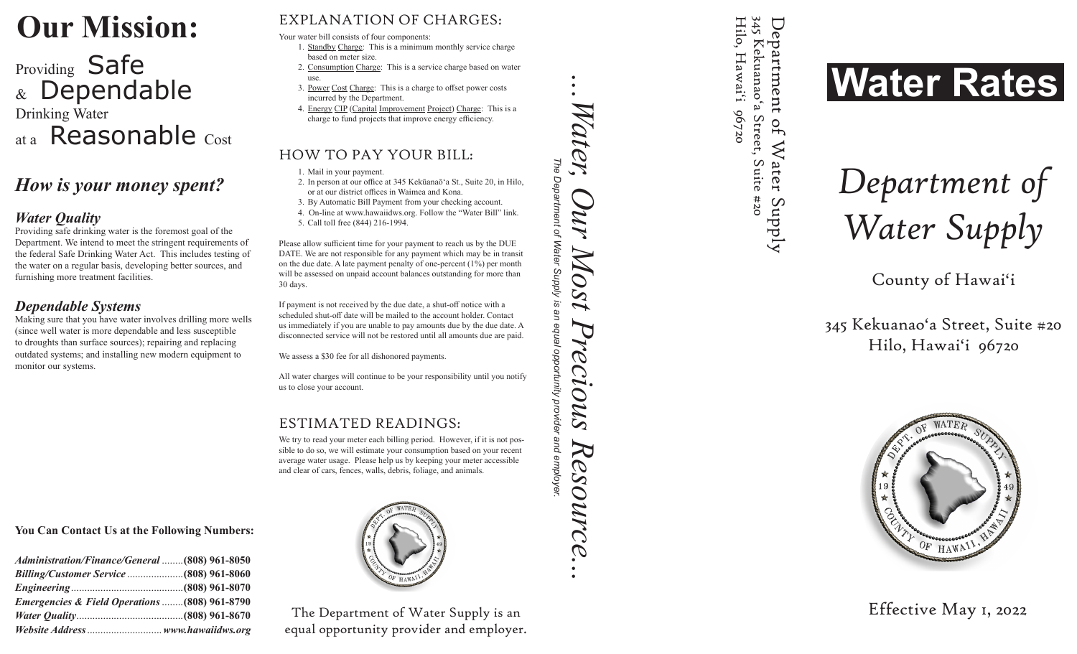## **Our Mission:**

# Providing Safe Dependable Drinking Water Reasonable Cost **DUIT MISSION:**<br> **Providing Safe**<br> **Providing Safe Advantation of CHARGES:**<br>  $x^2 = 2$  **Content and the content and the content and the content and the content and the content and the content and the content and the content**

### *How is your money spent?*

#### *Water Quality*

Providing safe drinking water is the foremost goal of the Department. We intend to meet the stringent requirements of the federal Safe Drinking Water Act. This includes testing of the water on a regular basis, developing better sources, and furnishing more treatment facilities.

#### *Dependable Systems*

Making sure that you have water involves drilling more wells (since well water is more dependable and less susceptible to droughts than surface sources); repairing and replacing outdated systems; and installing new modern equipment to monitor our systems.

#### **You Can Contact Us at the Following Numbers:**

| Administration/Finance/General (808) 961-8050 |  |
|-----------------------------------------------|--|
|                                               |  |
|                                               |  |
| Emergencies & Field Operations (808) 961-8790 |  |
|                                               |  |
|                                               |  |

Your water bill consists of four components:

- 1. Standby Charge: This is a minimum monthly service charge based on meter size.
- 2. Consumption Charge: This is a service charge based on water use.
- 3. Power Cost Charge: This is a charge to offset power costs incurred by the Department.
- 4. Energy CIP (Capital Improvement Project) Charge: This is a charge to fund projects that improve energy efficiency.

#### HOW TO PAY YOUR BILL:

1. Mail in your payment.

- 2. In person at our office at 345 Kekūanaō'a St., Suite 20, in Hilo, or at our district offices in Waimea and Kona.
- 3. By Automatic Bill Payment from your checking account.

4. On-line at www.hawaiidws.org. Follow the "Water Bill" link. 5. Call toll free (844) 216-1994.

Please allow sufficient time for your payment to reach us by the DUE DATE. We are not responsible for any payment which may be in transit on the due date. A late payment penalty of one-percent (1%) per month will be assessed on unpaid account balances outstanding for more than 30 days.

If payment is not received by the due date, a shut-off notice with a scheduled shut-off date will be mailed to the account holder. Contact us immediately if you are unable to pay amounts due by the due date. A disconnected service will not be restored until all amounts due are paid.

We assess a \$30 fee for all dishonored payments.

All water charges will continue to be your responsibility until you notify us to close your account.

#### ESTIMATED READINGS:

We try to read your meter each billing period. However, if it is not possible to do so, we will estimate your consumption based on your recent average water usage. Please help us by keeping your meter accessible and clear of cars, fences, walls, debris, foliage, and animals.



The Department of Water Supply is an equal opportunity provider and employe *The Department of Water Supply is an equal opportunity provider and employer.* 

*...Water, Our Most Precious Resource...* 

Precious

Resource.

Most

*Vater,* 

M

345 Kekuanao'a Street, Suite 345 Kekuanao'a Street, Suite #20 Hilo, Hawai'i Hilo, Hawai'i 96720 Department of Water Supply De partment 96720 of Water

 $202#$ 

AddnS



Department of Department of<br>Water Supply

County of Hawai 'i

345 Kekuanao'a Street, Suite #20 Hilo, Hawai'i 96720



Effective Ma y 1, 202 2